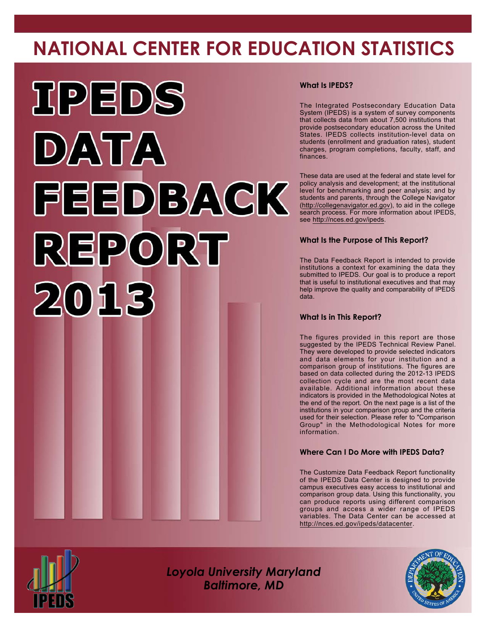# **NATIONAL CENTER FOR EDUCATION STATISTICS**



#### **What Is IPEDS?**

The Integrated Postsecondary Education Data System (IPEDS) is a system of survey components that collects data from about 7,500 institutions that provide postsecondary education across the United States. IPEDS collects institution-level data on students (enrollment and graduation rates), student charges, program completions, faculty, staff, and finances.

These data are used at the federal and state level for policy analysis and development; at the institutional level for benchmarking and peer analysis; and by students and parents, through the College Navigator [\(http://collegenavigator.ed.gov\)](http://collegenavigator.ed.gov), to aid in the college search process. For more information about IPEDS, see <http://nces.ed.gov/ipeds>.

#### **What Is the Purpose of This Report?**

The Data Feedback Report is intended to provide institutions a context for examining the data they submitted to IPEDS. Our goal is to produce a report that is useful to institutional executives and that may help improve the quality and comparability of IPEDS data.

#### **What Is in This Report?**

The figures provided in this report are those suggested by the IPEDS Technical Review Panel. They were developed to provide selected indicators and data elements for your institution and a comparison group of institutions. The figures are based on data collected during the 2012-13 IPEDS collection cycle and are the most recent data available. Additional information about these indicators is provided in the Methodological Notes at the end of the report. On the next page is a list of the institutions in your comparison group and the criteria used for their selection. Please refer to "Comparison Group" in the Methodological Notes for more information.

#### **Where Can I Do More with IPEDS Data?**

The Customize Data Feedback Report functionality of the IPEDS Data Center is designed to provide campus executives easy access to institutional and comparison group data. Using this functionality, you can produce reports using different comparison groups and access a wider range of IPEDS variables. The Data Center can be accessed at <http://nces.ed.gov/ipeds/datacenter>.



*Loyola University Maryland Baltimore, MD*

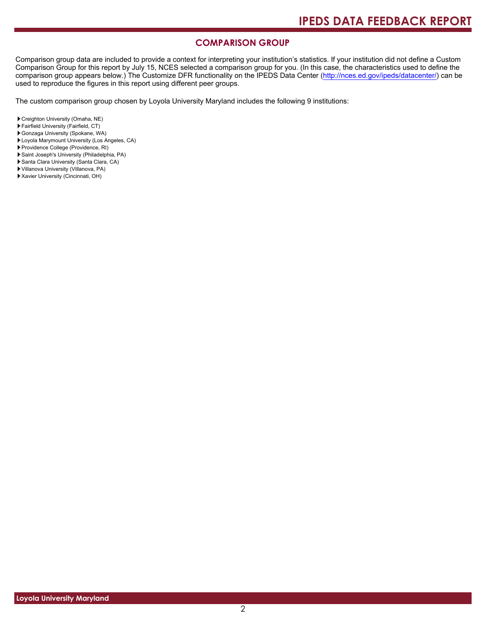#### **COMPARISON GROUP**

Comparison group data are included to provide a context for interpreting your institution's statistics. If your institution did not define a Custom Comparison Group for this report by July 15, NCES selected a comparison group for you. (In this case, the characteristics used to define the comparison group appears below.) The Customize DFR functionality on the IPEDS Data Center [\(http://nces.ed.gov/ipeds/datacenter/\)](http://nces.ed.gov/ipeds/datacenter/) can be used to reproduce the figures in this report using different peer groups.

The custom comparison group chosen by Loyola University Maryland includes the following 9 institutions:

- Creighton University (Omaha, NE)
- Fairfield University (Fairfield, CT)
- Gonzaga University (Spokane, WA)
- Loyola Marymount University (Los Angeles, CA)
- Providence College (Providence, RI)
- Saint Joseph's University (Philadelphia, PA)
- Santa Clara University (Santa Clara, CA)
- Villanova University (Villanova, PA)
- Xavier University (Cincinnati, OH)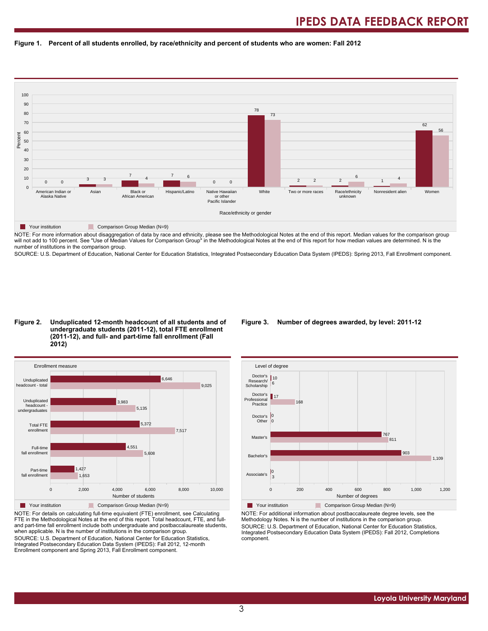



NOTE: For more information about disaggregation of data by race and ethnicity, please see the Methodological Notes at the end of this report. Median values for the comparison group will not add to 100 percent. See "Use of Median Values for Comparison Group" in the Methodological Notes at the end of this report for how median values are determined. N is the number of institutions in the comparison group.

SOURCE: U.S. Department of Education, National Center for Education Statistics, Integrated Postsecondary Education Data System (IPEDS): Spring 2013, Fall Enrollment component.

#### **Figure 2. Unduplicated 12-month headcount of all students and of undergraduate students (2011-12), total FTE enrollment (2011-12), and full- and part-time fall enrollment (Fall 2012)**



NOTE: For details on calculating full-time equivalent (FTE) enrollment, see Calculating FTE in the Methodological Notes at the end of this report. Total headcount, FTE, and fulland part-time fall enrollment include both undergraduate and postbaccalaureate students, when applicable. N is the number of institutions in the comparison group. SOURCE: U.S. Department of Education, National Center for Education Statistics, Integrated Postsecondary Education Data System (IPEDS): Fall 2012, 12-month Enrollment component and Spring 2013, Fall Enrollment component.

#### **Figure 3. Number of degrees awarded, by level: 2011-12**



NOTE: For additional information about postbaccalaureate degree levels, see the Methodology Notes. N is the number of institutions in the comparison group. SOURCE: U.S. Department of Education, National Center for Education Statistics, Integrated Postsecondary Education Data System (IPEDS): Fall 2012, Completions component.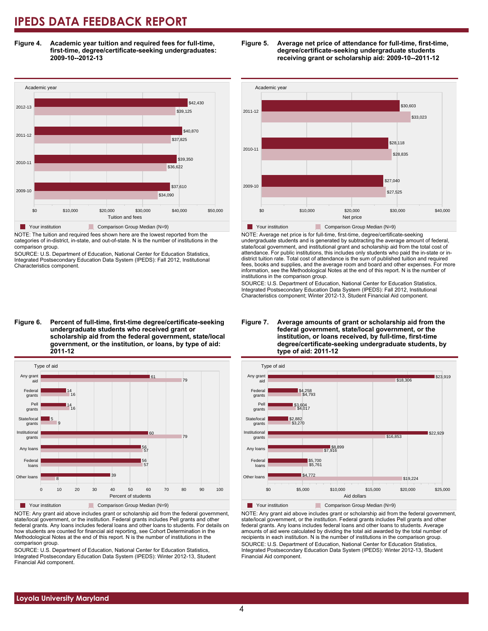**Figure 4. Academic year tuition and required fees for full-time, first-time, degree/certificate-seeking undergraduates: 2009-10--2012-13**



NOTE: The tuition and required fees shown here are the lowest reported from the categories of in-district, in-state, and out-of-state. N is the number of institutions in the comparison group.

SOURCE: U.S. Department of Education, National Center for Education Statistics, Integrated Postsecondary Education Data System (IPEDS): Fall 2012, Institutional Characteristics component.





**Figure 5. Average net price of attendance for full-time, first-time,**

NOTE: Average net price is for full-time, first-time, degree/certificate-seeking undergraduate students and is generated by subtracting the average amount of federal, state/local government, and institutional grant and scholarship aid from the total cost of attendance. For public institutions, this includes only students who paid the in-state or indistrict tuition rate. Total cost of attendance is the sum of published tuition and required fees, books and supplies, and the average room and board and other expenses. For more information, see the Methodological Notes at the end of this report. N is the number of institutions in the comparison group.

SOURCE: U.S. Department of Education, National Center for Education Statistics, Integrated Postsecondary Education Data System (IPEDS): Fall 2012, Institutional Characteristics component; Winter 2012-13, Student Financial Aid component.

#### **undergraduate students who received grant or scholarship aid from the federal government, state/local government, or the institution, or loans, by type of aid: 2011-12**



NOTE: Any grant aid above includes grant or scholarship aid from the federal government, state/local government, or the institution. Federal grants includes Pell grants and other federal grants. Any loans includes federal loans and other loans to students. For details on how students are counted for financial aid reporting, see Cohort Determination in the Methodological Notes at the end of this report. N is the number of institutions in the comparison group.

SOURCE: U.S. Department of Education, National Center for Education Statistics, Integrated Postsecondary Education Data System (IPEDS): Winter 2012-13, Student Financial Aid component.

#### **Figure 7. Average amounts of grant or scholarship aid from the federal government, state/local government, or the institution, or loans received, by full-time, first-time degree/certificate-seeking undergraduate students, by type of aid: 2011-12**



NOTE: Any grant aid above includes grant or scholarship aid from the federal government, state/local government, or the institution. Federal grants includes Pell grants and other federal grants. Any loans includes federal loans and other loans to students. Average amounts of aid were calculated by dividing the total aid awarded by the total number of recipients in each institution. N is the number of institutions in the comparison group. SOURCE: U.S. Department of Education, National Center for Education Statistics, Integrated Postsecondary Education Data System (IPEDS): Winter 2012-13, Student Financial Aid component.

# **Figure 6. Percent of full-time, first-time degree/certificate-seeking**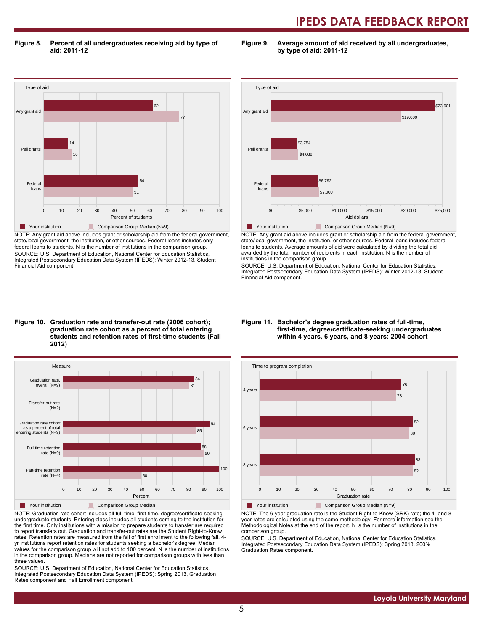**Figure 8. Percent of all undergraduates receiving aid by type of aid: 2011-12**

**Figure 9. Average amount of aid received by all undergraduates, by type of aid: 2011-12**



NOTE: Any grant aid above includes grant or scholarship aid from the federal government, state/local government, the institution, or other sources. Federal loans includes only federal loans to students. N is the number of institutions in the comparison group. SOURCE: U.S. Department of Education, National Center for Education Statistics, Integrated Postsecondary Education Data System (IPEDS): Winter 2012-13, Student Financial Aid component.



NOTE: Any grant aid above includes grant or scholarship aid from the federal government, state/local government, the institution, or other sources. Federal loans includes federal loans to students. Average amounts of aid were calculated by dividing the total aid awarded by the total number of recipients in each institution. N is the number of institutions in the comparison group.

SOURCE: U.S. Department of Education, National Center for Education Statistics, Integrated Postsecondary Education Data System (IPEDS): Winter 2012-13, Student Financial Aid component.

#### **Figure 10. Graduation rate and transfer-out rate (2006 cohort); graduation rate cohort as a percent of total entering students and retention rates of first-time students (Fall 2012)**



NOTE: Graduation rate cohort includes all full-time, first-time, degree/certificate-seeking undergraduate students. Entering class includes all students coming to the institution for the first time. Only institutions with a mission to prepare students to transfer are required to report transfers out. Graduation and transfer-out rates are the Student Right-to-Know rates. Retention rates are measured from the fall of first enrollment to the following fall. 4 yr institutions report retention rates for students seeking a bachelor's degree. Median values for the comparison group will not add to 100 percent. N is the number of institutions in the comparison group. Medians are not reported for comparison groups with less than three values.

SOURCE: U.S. Department of Education, National Center for Education Statistics, Integrated Postsecondary Education Data System (IPEDS): Spring 2013, Graduation Rates component and Fall Enrollment component.

#### **Figure 11. Bachelor's degree graduation rates of full-time, first-time, degree/certificate-seeking undergraduates within 4 years, 6 years, and 8 years: 2004 cohort**



NOTE: The 6-year graduation rate is the Student Right-to-Know (SRK) rate; the 4- and 8 year rates are calculated using the same methodology. For more information see the Methodological Notes at the end of the report. N is the number of institutions in the comparison group.

SOURCE: U.S. Department of Education, National Center for Education Statistics, Integrated Postsecondary Education Data System (IPEDS): Spring 2013, 200% Graduation Rates component.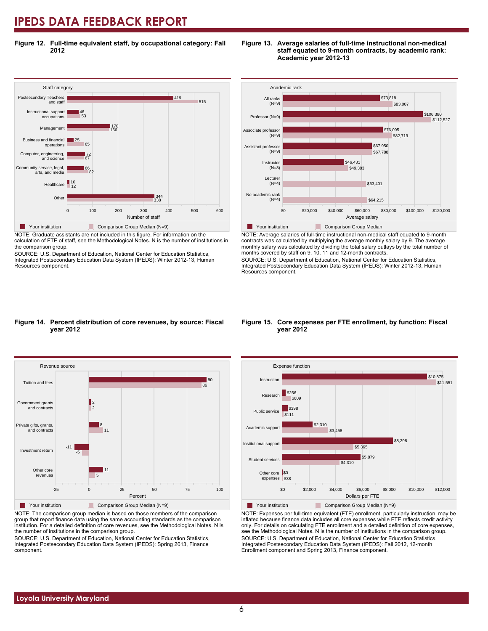**Figure 12. Full-time equivalent staff, by occupational category: Fall 2012**



NOTE: Graduate assistants are not included in this figure. For information on the calculation of FTE of staff, see the Methodological Notes. N is the number of institutions in the comparison group.

SOURCE: U.S. Department of Education, National Center for Education Statistics, Integrated Postsecondary Education Data System (IPEDS): Winter 2012-13, Human Resources component.





NOTE: Average salaries of full-time instructional non-medical staff equated to 9-month contracts was calculated by multiplying the average monthly salary by 9. The average monthly salary was calculated by dividing the total salary outlays by the total number of months covered by staff on 9, 10, 11 and 12-month contracts.

SOURCE: U.S. Department of Education, National Center for Education Statistics, Integrated Postsecondary Education Data System (IPEDS): Winter 2012-13, Human Resources component.

## **year 2012**



NOTE: The comparison group median is based on those members of the comparison group that report finance data using the same accounting standards as the comparison institution. For a detailed definition of core revenues, see the Methodological Notes. N is the number of institutions in the comparison group.

SOURCE: U.S. Department of Education, National Center for Education Statistics, Integrated Postsecondary Education Data System (IPEDS): Spring 2013, Finance component.

#### **Figure 15. Core expenses per FTE enrollment, by function: Fiscal year 2012**



NOTE: Expenses per full-time equivalent (FTE) enrollment, particularly instruction, may be inflated because finance data includes all core expenses while FTE reflects credit activity only. For details on calculating FTE enrollment and a detailed definition of core expenses, see the Methodological Notes. N is the number of institutions in the comparison group. SOURCE: U.S. Department of Education, National Center for Education Statistics, Integrated Postsecondary Education Data System (IPEDS): Fall 2012, 12-month Enrollment component and Spring 2013, Finance component.

# **Figure 14. Percent distribution of core revenues, by source: Fiscal**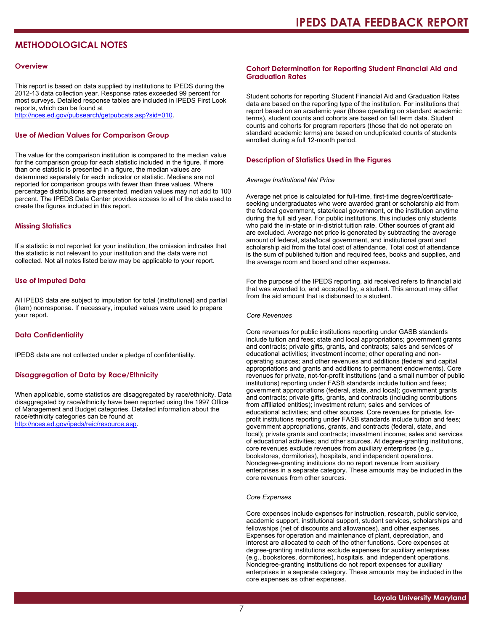#### **METHODOLOGICAL NOTES**

#### **Overview**

This report is based on data supplied by institutions to IPEDS during the 2012-13 data collection year. Response rates exceeded 99 percent for most surveys. Detailed response tables are included in IPEDS First Look reports, which can be found at [http://nces.ed.gov/pubsearch/getpubcats.asp?sid=010.](http://nces.ed.gov/pubsearch/getpubcats.asp?sid=010)

#### **Use of Median Values for Comparison Group**

The value for the comparison institution is compared to the median value for the comparison group for each statistic included in the figure. If more than one statistic is presented in a figure, the median values are determined separately for each indicator or statistic. Medians are not reported for comparison groups with fewer than three values. Where percentage distributions are presented, median values may not add to 100 percent. The IPEDS Data Center provides access to all of the data used to create the figures included in this report.

#### **Missing Statistics**

If a statistic is not reported for your institution, the omission indicates that the statistic is not relevant to your institution and the data were not collected. Not all notes listed below may be applicable to your report.

#### **Use of Imputed Data**

All IPEDS data are subject to imputation for total (institutional) and partial (item) nonresponse. If necessary, imputed values were used to prepare your report.

#### **Data Confidentiality**

IPEDS data are not collected under a pledge of confidentiality.

#### **Disaggregation of Data by Race/Ethnicity**

When applicable, some statistics are disaggregated by race/ethnicity. Data disaggregated by race/ethnicity have been reported using the 1997 Office of Management and Budget categories. Detailed information about the race/ethnicity categories can be found at <http://nces.ed.gov/ipeds/reic/resource.asp>.

#### **Cohort Determination for Reporting Student Financial Aid and Graduation Rates**

Student cohorts for reporting Student Financial Aid and Graduation Rates data are based on the reporting type of the institution. For institutions that report based on an academic year (those operating on standard academic terms), student counts and cohorts are based on fall term data. Student counts and cohorts for program reporters (those that do not operate on standard academic terms) are based on unduplicated counts of students enrolled during a full 12-month period.

#### **Description of Statistics Used in the Figures**

#### *Average Institutional Net Price*

Average net price is calculated for full-time, first-time degree/certificateseeking undergraduates who were awarded grant or scholarship aid from the federal government, state/local government, or the institution anytime during the full aid year. For public institutions, this includes only students who paid the in-state or in-district tuition rate. Other sources of grant aid are excluded. Average net price is generated by subtracting the average amount of federal, state/local government, and institutional grant and scholarship aid from the total cost of attendance. Total cost of attendance is the sum of published tuition and required fees, books and supplies, and the average room and board and other expenses.

For the purpose of the IPEDS reporting, aid received refers to financial aid that was awarded to, and accepted by, a student. This amount may differ from the aid amount that is disbursed to a student.

#### *Core Revenues*

Core revenues for public institutions reporting under GASB standards include tuition and fees; state and local appropriations; government grants and contracts; private gifts, grants, and contracts; sales and services of educational activities; investment income; other operating and nonoperating sources; and other revenues and additions (federal and capital appropriations and grants and additions to permanent endowments). Core revenues for private, not-for-profit institutions (and a small number of public institutions) reporting under FASB standards include tuition and fees; government appropriations (federal, state, and local); government grants and contracts; private gifts, grants, and contracts (including contributions from affiliated entities); investment return; sales and services of educational activities; and other sources. Core revenues for private, forprofit institutions reporting under FASB standards include tuition and fees; government appropriations, grants, and contracts (federal, state, and local); private grants and contracts; investment income; sales and services of educational activities; and other sources. At degree-granting institutions, core revenues exclude revenues from auxiliary enterprises (e.g., bookstores, dormitories), hospitals, and independent operations. Nondegree-granting instituions do no report revenue from auxiliary enterprises in a separate category. These amounts may be included in the core revenues from other sources.

#### *Core Expenses*

Core expenses include expenses for instruction, research, public service, academic support, institutional support, student services, scholarships and fellowships (net of discounts and allowances), and other expenses. Expenses for operation and maintenance of plant, depreciation, and interest are allocated to each of the other functions. Core expenses at degree-granting institutions exclude expenses for auxiliary enterprises (e.g., bookstores, dormitories), hospitals, and independent operations. Nondegree-granting institutions do not report expenses for auxiliary enterprises in a separate category. These amounts may be included in the core expenses as other expenses.